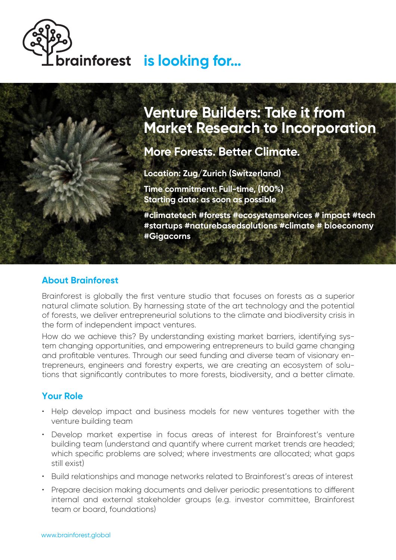# **is looking for...**

# **Venture Builders: Take it from Market Research to Incorporation**

**More Forests. Better Climate.**

**Location: Zug/Zurich (Switzerland) Time commitment: Full-time, (100%) Starting date: as soon as possible**

**#climatetech #forests #ecosystemservices # impact #tech #startups #naturebasedsolutions #climate # bioeconomy #Gigacorns**

#### **About Brainforest**

Brainforest is globally the first venture studio that focuses on forests as a superior natural climate solution. By harnessing state of the art technology and the potential of forests, we deliver entrepreneurial solutions to the climate and biodiversity crisis in the form of independent impact ventures.

How do we achieve this? By understanding existing market barriers, identifying system changing opportunities, and empowering entrepreneurs to build game changing and profitable ventures. Through our seed funding and diverse team of visionary entrepreneurs, engineers and forestry experts, we are creating an ecosystem of solutions that significantly contributes to more forests, biodiversity, and a better climate.

### **Your Role**

- Help develop impact and business models for new ventures together with the venture building team
- Develop market expertise in focus areas of interest for Brainforest's venture building team (understand and quantify where current market trends are headed; which specific problems are solved; where investments are allocated; what gaps still exist)
- Build relationships and manage networks related to Brainforest's areas of interest
- Prepare decision making documents and deliver periodic presentations to different internal and external stakeholder groups (e.g. investor committee, Brainforest team or board, foundations)